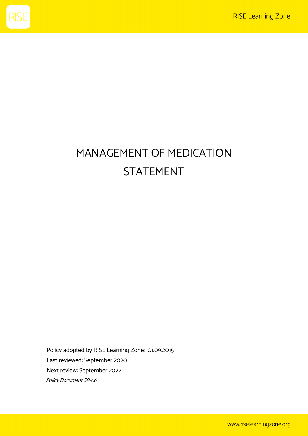

## MANAGEMENT OF MEDICATION STATEMENT

Policy adopted by RISE Learning Zone: 01.09.2015 Last reviewed: September 2020 Next review: September 2022 Policy Document SP-06